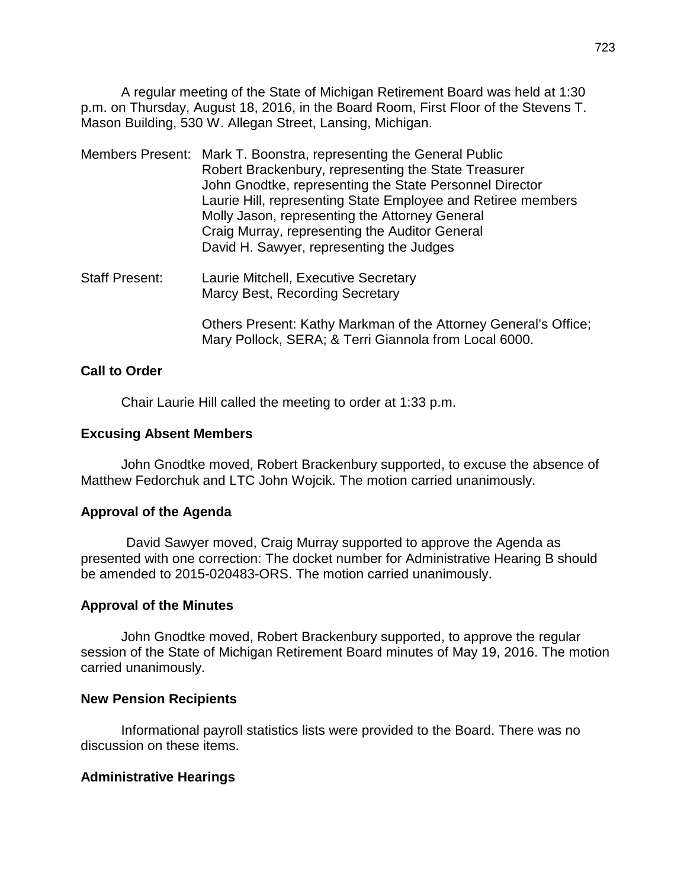A regular meeting of the State of Michigan Retirement Board was held at 1:30 p.m. on Thursday, August 18, 2016, in the Board Room, First Floor of the Stevens T. Mason Building, 530 W. Allegan Street, Lansing, Michigan.

- Members Present: Mark T. Boonstra, representing the General Public Robert Brackenbury, representing the State Treasurer John Gnodtke, representing the State Personnel Director Laurie Hill, representing State Employee and Retiree members Molly Jason, representing the Attorney General Craig Murray, representing the Auditor General David H. Sawyer, representing the Judges
- Staff Present: Laurie Mitchell, Executive Secretary Marcy Best, Recording Secretary

Others Present: Kathy Markman of the Attorney General's Office; Mary Pollock, SERA; & Terri Giannola from Local 6000.

## **Call to Order**

Chair Laurie Hill called the meeting to order at 1:33 p.m.

## **Excusing Absent Members**

John Gnodtke moved, Robert Brackenbury supported, to excuse the absence of Matthew Fedorchuk and LTC John Wojcik. The motion carried unanimously.

# **Approval of the Agenda**

David Sawyer moved, Craig Murray supported to approve the Agenda as presented with one correction: The docket number for Administrative Hearing B should be amended to 2015-020483-ORS. The motion carried unanimously.

## **Approval of the Minutes**

John Gnodtke moved, Robert Brackenbury supported, to approve the regular session of the State of Michigan Retirement Board minutes of May 19, 2016. The motion carried unanimously.

## **New Pension Recipients**

Informational payroll statistics lists were provided to the Board. There was no discussion on these items.

## **Administrative Hearings**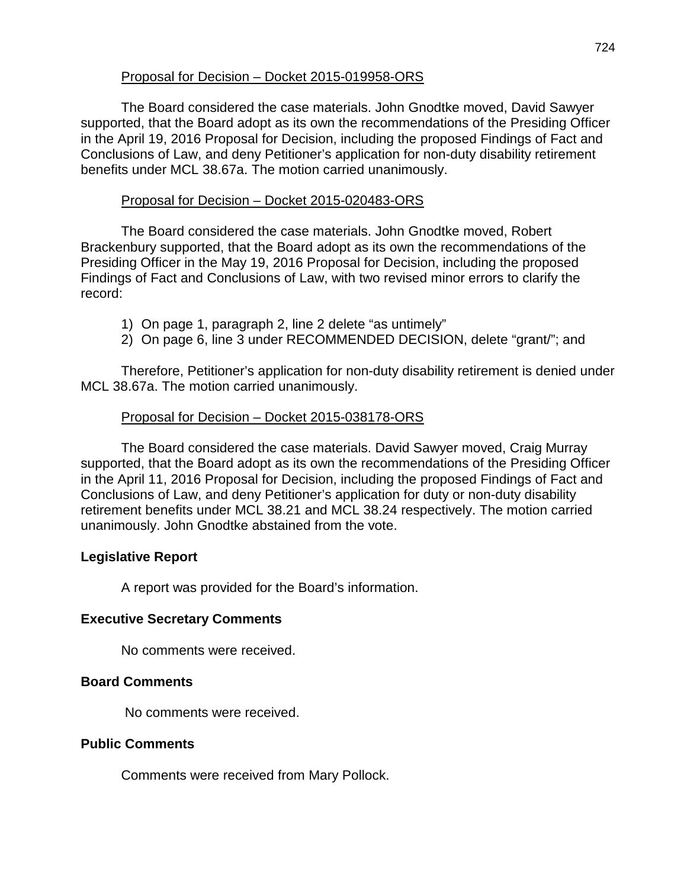# Proposal for Decision – Docket 2015-019958-ORS

The Board considered the case materials. John Gnodtke moved, David Sawyer supported, that the Board adopt as its own the recommendations of the Presiding Officer in the April 19, 2016 Proposal for Decision, including the proposed Findings of Fact and Conclusions of Law, and deny Petitioner's application for non-duty disability retirement benefits under MCL 38.67a. The motion carried unanimously.

## Proposal for Decision – Docket 2015-020483-ORS

The Board considered the case materials. John Gnodtke moved, Robert Brackenbury supported, that the Board adopt as its own the recommendations of the Presiding Officer in the May 19, 2016 Proposal for Decision, including the proposed Findings of Fact and Conclusions of Law, with two revised minor errors to clarify the record:

- 1) On page 1, paragraph 2, line 2 delete "as untimely"
- 2) On page 6, line 3 under RECOMMENDED DECISION, delete "grant/"; and

Therefore, Petitioner's application for non-duty disability retirement is denied under MCL 38.67a. The motion carried unanimously.

## Proposal for Decision – Docket 2015-038178-ORS

The Board considered the case materials. David Sawyer moved, Craig Murray supported, that the Board adopt as its own the recommendations of the Presiding Officer in the April 11, 2016 Proposal for Decision, including the proposed Findings of Fact and Conclusions of Law, and deny Petitioner's application for duty or non-duty disability retirement benefits under MCL 38.21 and MCL 38.24 respectively. The motion carried unanimously. John Gnodtke abstained from the vote.

# **Legislative Report**

A report was provided for the Board's information.

# **Executive Secretary Comments**

No comments were received.

# **Board Comments**

No comments were received.

## **Public Comments**

Comments were received from Mary Pollock.